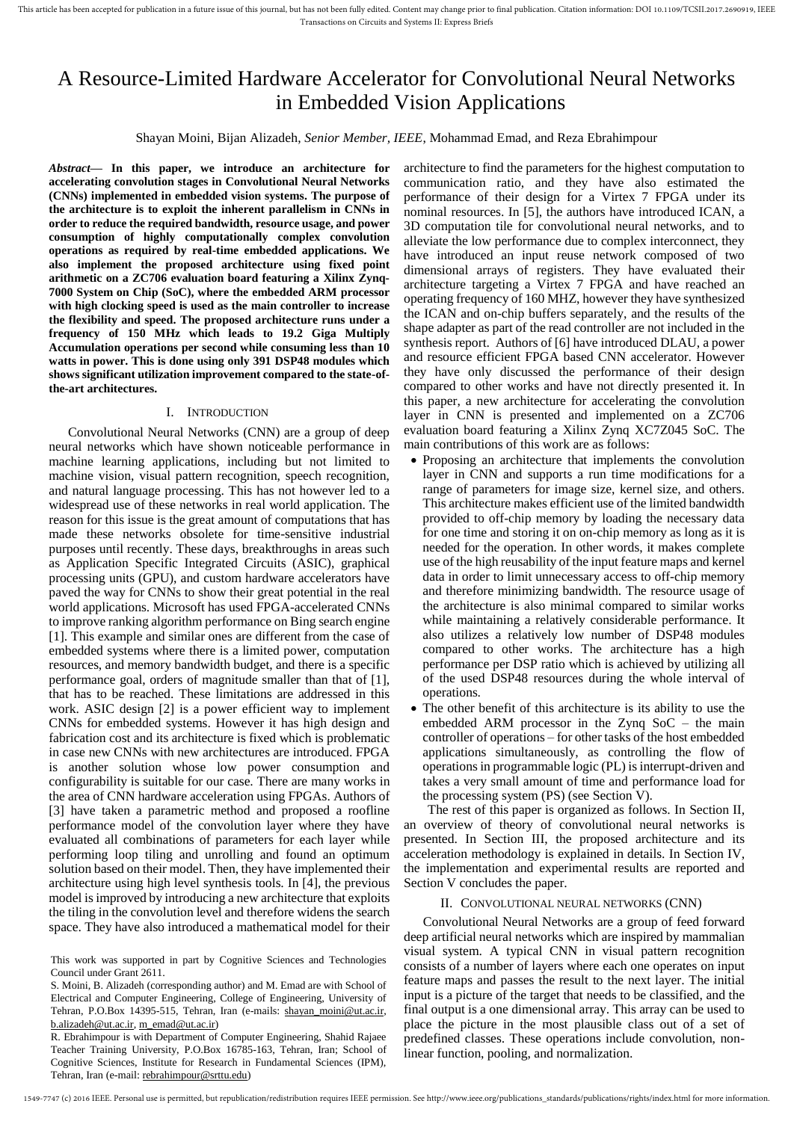# A Resource-Limited Hardware Accelerator for Convolutional Neural Networks in Embedded Vision Applications

Shayan Moini, Bijan Alizadeh, *Senior Member, IEEE*, Mohammad Emad, and Reza Ebrahimpour

*Abstract***— In this paper, we introduce an architecture for accelerating convolution stages in Convolutional Neural Networks (CNNs) implemented in embedded vision systems. The purpose of the architecture is to exploit the inherent parallelism in CNNs in order to reduce the required bandwidth, resource usage, and power consumption of highly computationally complex convolution operations as required by real-time embedded applications. We also implement the proposed architecture using fixed point arithmetic on a ZC706 evaluation board featuring a Xilinx Zynq-7000 System on Chip (SoC), where the embedded ARM processor with high clocking speed is used as the main controller to increase the flexibility and speed. The proposed architecture runs under a frequency of 150 MHz which leads to 19.2 Giga Multiply Accumulation operations per second while consuming less than 10 watts in power. This is done using only 391 DSP48 modules which shows significant utilization improvement compared to the state-ofthe-art architectures.** 

# I. INTRODUCTION

Convolutional Neural Networks (CNN) are a group of deep neural networks which have shown noticeable performance in machine learning applications, including but not limited to machine vision, visual pattern recognition, speech recognition, and natural language processing. This has not however led to a widespread use of these networks in real world application. The reason for this issue is the great amount of computations that has made these networks obsolete for time-sensitive industrial purposes until recently. These days, breakthroughs in areas such as Application Specific Integrated Circuits (ASIC), graphical processing units (GPU), and custom hardware accelerators have paved the way for CNNs to show their great potential in the real world applications. Microsoft has used FPGA-accelerated CNNs to improve ranking algorithm performance on Bing search engine [1]. This example and similar ones are different from the case of embedded systems where there is a limited power, computation resources, and memory bandwidth budget, and there is a specific performance goal, orders of magnitude smaller than that of [1], that has to be reached. These limitations are addressed in this work. ASIC design [2] is a power efficient way to implement CNNs for embedded systems. However it has high design and fabrication cost and its architecture is fixed which is problematic in case new CNNs with new architectures are introduced. FPGA is another solution whose low power consumption and configurability is suitable for our case. There are many works in the area of CNN hardware acceleration using FPGAs. Authors of [3] have taken a parametric method and proposed a roofline performance model of the convolution layer where they have evaluated all combinations of parameters for each layer while performing loop tiling and unrolling and found an optimum solution based on their model. Then, they have implemented their architecture using high level synthesis tools. In [4], the previous model is improved by introducing a new architecture that exploits the tiling in the convolution level and therefore widens the search space. They have also introduced a mathematical model for their

architecture to find the parameters for the highest computation to communication ratio, and they have also estimated the performance of their design for a Virtex 7 FPGA under its nominal resources. In [5], the authors have introduced ICAN, a 3D computation tile for convolutional neural networks, and to alleviate the low performance due to complex interconnect, they have introduced an input reuse network composed of two dimensional arrays of registers. They have evaluated their architecture targeting a Virtex 7 FPGA and have reached an operating frequency of 160 MHZ, however they have synthesized the ICAN and on-chip buffers separately, and the results of the shape adapter as part of the read controller are not included in the synthesis report. Authors of [6] have introduced DLAU, a power and resource efficient FPGA based CNN accelerator. However they have only discussed the performance of their design compared to other works and have not directly presented it. In this paper, a new architecture for accelerating the convolution layer in CNN is presented and implemented on a ZC706 evaluation board featuring a Xilinx Zynq XC7Z045 SoC. The main contributions of this work are as follows:

- Proposing an architecture that implements the convolution layer in CNN and supports a run time modifications for a range of parameters for image size, kernel size, and others. This architecture makes efficient use of the limited bandwidth provided to off-chip memory by loading the necessary data for one time and storing it on on-chip memory as long as it is needed for the operation. In other words, it makes complete use of the high reusability of the input feature maps and kernel data in order to limit unnecessary access to off-chip memory and therefore minimizing bandwidth. The resource usage of the architecture is also minimal compared to similar works while maintaining a relatively considerable performance. It also utilizes a relatively low number of DSP48 modules compared to other works. The architecture has a high performance per DSP ratio which is achieved by utilizing all of the used DSP48 resources during the whole interval of operations.
- The other benefit of this architecture is its ability to use the embedded ARM processor in the Zynq SoC – the main controller of operations – for other tasks of the host embedded applications simultaneously, as controlling the flow of operations in programmable logic (PL) is interrupt-driven and takes a very small amount of time and performance load for the processing system (PS) (see Section V).

The rest of this paper is organized as follows. In Section II, an overview of theory of convolutional neural networks is presented. In Section III, the proposed architecture and its acceleration methodology is explained in details. In Section IV, the implementation and experimental results are reported and Section V concludes the paper.

#### II. CONVOLUTIONAL NEURAL NETWORKS (CNN)

Convolutional Neural Networks are a group of feed forward deep artificial neural networks which are inspired by mammalian visual system. A typical CNN in visual pattern recognition consists of a number of layers where each one operates on input feature maps and passes the result to the next layer. The initial input is a picture of the target that needs to be classified, and the final output is a one dimensional array. This array can be used to place the picture in the most plausible class out of a set of predefined classes. These operations include convolution, nonlinear function, pooling, and normalization.

This work was supported in part by Cognitive Sciences and Technologies Council under Grant 2611.

S. Moini, B. Alizadeh (corresponding author) and M. Emad are with School of Electrical and Computer Engineering, College of Engineering, University of Tehran, P.O.Box 14395-515, Tehran, Iran (e-mails: shayan\_moini@ut.ac.ir, [b.alizadeh@ut.ac.ir,](mailto:b.alizadeh@ut.ac.ir) [m\\_emad@ut.ac.ir\)](mailto:m_emad@ut.ac.ir)

R. Ebrahimpour is with Department of Computer Engineering, Shahid Rajaee Teacher Training University, P.O.Box 16785-163, Tehran, Iran; School of Cognitive Sciences, Institute for Research in Fundamental Sciences (IPM), Tehran, Iran (e-mail: [rebrahimpour@srttu.edu\)](mailto:rebrahimpour@srttu.edu)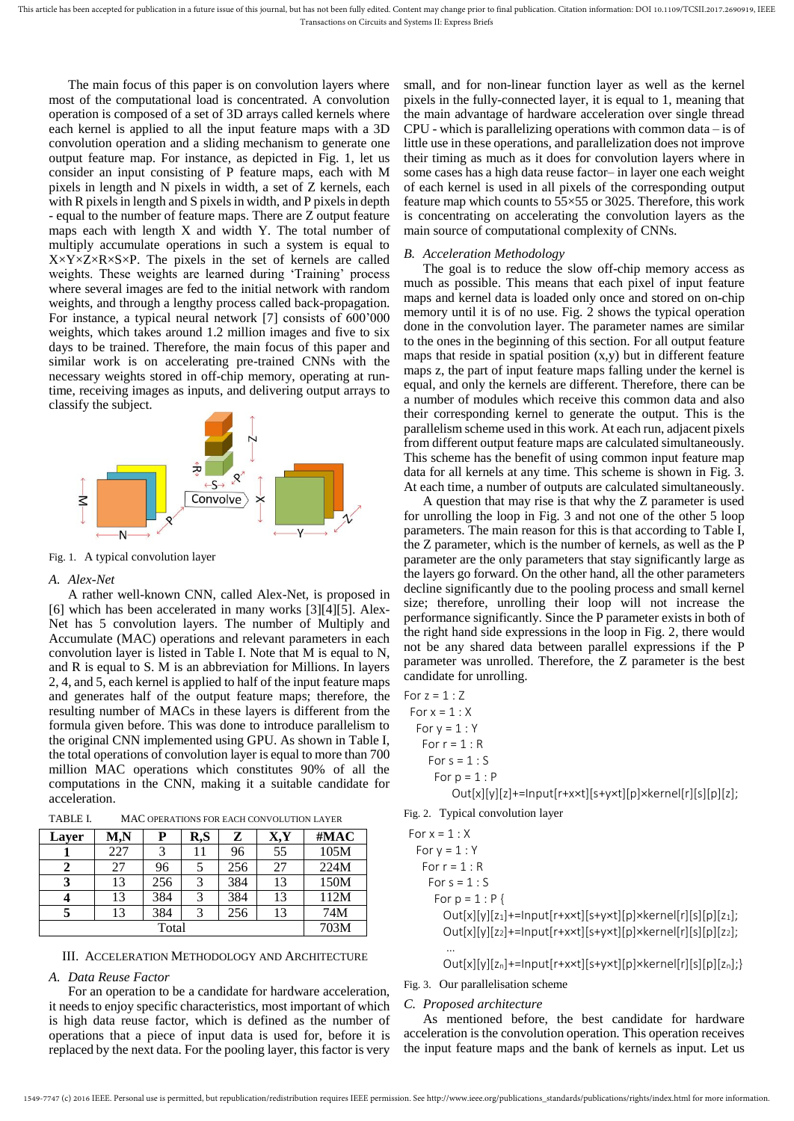This article has been accepted for publication in a future issue of this journal, but has not been fully edited. Content may change prior to final publication. Citation information: DOI 10.1109/TCSII.2017.2690919, IEEE Transactions on Circuits and Systems II: Express Briefs

The main focus of this paper is on convolution layers where most of the computational load is concentrated. A convolution operation is composed of a set of 3D arrays called kernels where each kernel is applied to all the input feature maps with a 3D convolution operation and a sliding mechanism to generate one output feature map. For instance, as depicted in Fig. 1, let us consider an input consisting of P feature maps, each with M pixels in length and N pixels in width, a set of Z kernels, each with R pixels in length and S pixels in width, and P pixels in depth - equal to the number of feature maps. There are Z output feature maps each with length X and width Y. The total number of multiply accumulate operations in such a system is equal to X×Y×Z×R×S×P. The pixels in the set of kernels are called weights. These weights are learned during 'Training' process where several images are fed to the initial network with random weights, and through a lengthy process called back-propagation. For instance, a typical neural network [7] consists of 600'000 weights, which takes around 1.2 million images and five to six days to be trained. Therefore, the main focus of this paper and similar work is on accelerating pre-trained CNNs with the necessary weights stored in off-chip memory, operating at runtime, receiving images as inputs, and delivering output arrays to classify the subject.



Fig. 1. A typical convolution layer

# *A. Alex-Net*

A rather well-known CNN, called Alex-Net, is proposed in [6] which has been accelerated in many works [3][4][5]. Alex-Net has 5 convolution layers. The number of Multiply and Accumulate (MAC) operations and relevant parameters in each convolution layer is listed in Table I. Note that M is equal to N, and R is equal to S. M is an abbreviation for Millions. In layers 2, 4, and 5, each kernel is applied to half of the input feature maps and generates half of the output feature maps; therefore, the resulting number of MACs in these layers is different from the formula given before. This was done to introduce parallelism to the original CNN implemented using GPU. As shown in Table I, the total operations of convolution layer is equal to more than 700 million MAC operations which constitutes 90% of all the computations in the CNN, making it a suitable candidate for acceleration.

TABLE I. MAC OPERATIONS FOR EACH CONVOLUTION LAYER

| Layer | M,N | P   | R,S | Z   | X,Y  | #MAC |
|-------|-----|-----|-----|-----|------|------|
|       | 227 |     |     | 96  | 55   | 105M |
|       | 27  | 96  |     | 256 | 27   | 224M |
| 3     | 13  | 256 | 3   | 384 | 13   | 150M |
|       | 13  | 384 | 3   | 384 | 13   | 112M |
|       | 13  | 384 |     | 256 | 13   | 74M  |
| Total |     |     |     |     | 703M |      |

# III. ACCELERATION METHODOLOGY AND ARCHITECTURE

# *A. Data Reuse Factor*

For an operation to be a candidate for hardware acceleration, it needs to enjoy specific characteristics, most important of which is high data reuse factor, which is defined as the number of operations that a piece of input data is used for, before it is replaced by the next data. For the pooling layer, this factor is very

small, and for non-linear function layer as well as the kernel pixels in the fully-connected layer, it is equal to 1, meaning that the main advantage of hardware acceleration over single thread CPU - which is parallelizing operations with common data – is of little use in these operations, and parallelization does not improve their timing as much as it does for convolution layers where in some cases has a high data reuse factor– in layer one each weight of each kernel is used in all pixels of the corresponding output feature map which counts to 55×55 or 3025. Therefore, this work is concentrating on accelerating the convolution layers as the main source of computational complexity of CNNs.

# *B. Acceleration Methodology*

The goal is to reduce the slow off-chip memory access as much as possible. This means that each pixel of input feature maps and kernel data is loaded only once and stored on on-chip memory until it is of no use. Fig. 2 shows the typical operation done in the convolution layer. The parameter names are similar to the ones in the beginning of this section. For all output feature maps that reside in spatial position (x,y) but in different feature maps z, the part of input feature maps falling under the kernel is equal, and only the kernels are different. Therefore, there can be a number of modules which receive this common data and also their corresponding kernel to generate the output. This is the parallelism scheme used in this work. At each run, adjacent pixels from different output feature maps are calculated simultaneously. This scheme has the benefit of using common input feature map data for all kernels at any time. This scheme is shown in Fig. 3. At each time, a number of outputs are calculated simultaneously.

A question that may rise is that why the Z parameter is used for unrolling the loop in Fig. 3 and not one of the other 5 loop parameters. The main reason for this is that according to Table I, the Z parameter, which is the number of kernels, as well as the P parameter are the only parameters that stay significantly large as the layers go forward. On the other hand, all the other parameters decline significantly due to the pooling process and small kernel size; therefore, unrolling their loop will not increase the performance significantly. Since the P parameter exists in both of the right hand side expressions in the loop in Fig. 2, there would not be any shared data between parallel expressions if the P parameter was unrolled. Therefore, the Z parameter is the best candidate for unrolling.

For  $z = 1 : Z$ 

For  $x = 1 : X$ For  $y = 1:Y$ For  $r = 1 : R$ For  $s = 1 : S$ For  $p = 1$ : P

Out[x][y][z]+=Input[r+x×t][s+y×t][p]×kernel[r][s][p][z];

Fig. 2. Typical convolution layer

For  $x = 1 : X$ For  $y = 1 : Y$ For  $r = 1 : R$ For  $s = 1 : S$ For  $p = 1 : P$  { Out[x][y][z1]+=Input[r+x×t][s+y×t][p]×kernel[r][s][p][z1]; Out[x][y][z2]+=Input[r+x×t][s+y×t][p]×kernel[r][s][p][z2]; …

 $Out[x][y][z_n]+=Input[r+xxt][s+yxt][p]xkernel[r][s][p][z_n];$ 

# Fig. 3. Our parallelisation scheme

#### *C. Proposed architecture*

 As mentioned before, the best candidate for hardware acceleration is the convolution operation. This operation receives the input feature maps and the bank of kernels as input. Let us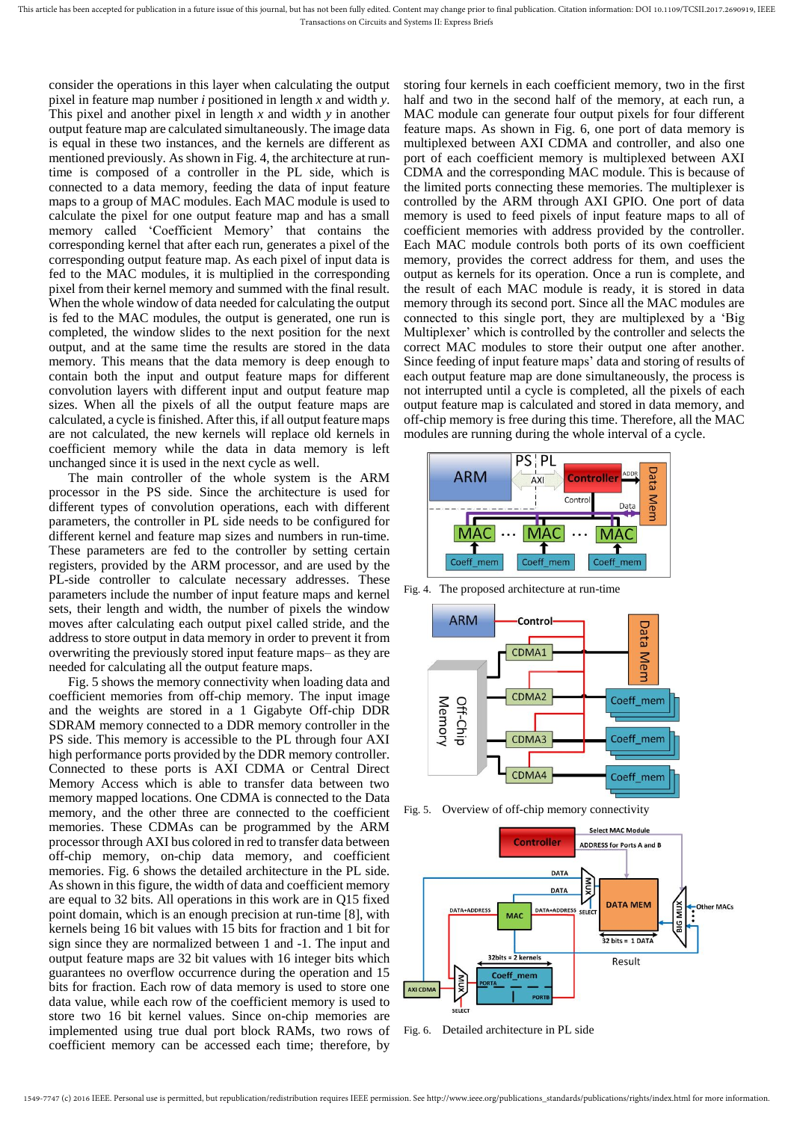consider the operations in this layer when calculating the output pixel in feature map number *i* positioned in length *x* and width *y*. This pixel and another pixel in length *x* and width *y* in another output feature map are calculated simultaneously. The image data is equal in these two instances, and the kernels are different as mentioned previously. As shown in Fig. 4, the architecture at runtime is composed of a controller in the PL side, which is connected to a data memory, feeding the data of input feature maps to a group of MAC modules. Each MAC module is used to calculate the pixel for one output feature map and has a small memory called 'Coefficient Memory' that contains the corresponding kernel that after each run, generates a pixel of the corresponding output feature map. As each pixel of input data is fed to the MAC modules, it is multiplied in the corresponding pixel from their kernel memory and summed with the final result. When the whole window of data needed for calculating the output is fed to the MAC modules, the output is generated, one run is completed, the window slides to the next position for the next output, and at the same time the results are stored in the data memory. This means that the data memory is deep enough to contain both the input and output feature maps for different convolution layers with different input and output feature map sizes. When all the pixels of all the output feature maps are calculated, a cycle is finished. After this, if all output feature maps are not calculated, the new kernels will replace old kernels in coefficient memory while the data in data memory is left unchanged since it is used in the next cycle as well.

The main controller of the whole system is the ARM processor in the PS side. Since the architecture is used for different types of convolution operations, each with different parameters, the controller in PL side needs to be configured for different kernel and feature map sizes and numbers in run-time. These parameters are fed to the controller by setting certain registers, provided by the ARM processor, and are used by the PL-side controller to calculate necessary addresses. These parameters include the number of input feature maps and kernel sets, their length and width, the number of pixels the window moves after calculating each output pixel called stride, and the address to store output in data memory in order to prevent it from overwriting the previously stored input feature maps– as they are needed for calculating all the output feature maps.

Fig. 5 shows the memory connectivity when loading data and coefficient memories from off-chip memory. The input image and the weights are stored in a 1 Gigabyte Off-chip DDR SDRAM memory connected to a DDR memory controller in the PS side. This memory is accessible to the PL through four AXI high performance ports provided by the DDR memory controller. Connected to these ports is AXI CDMA or Central Direct Memory Access which is able to transfer data between two memory mapped locations. One CDMA is connected to the Data memory, and the other three are connected to the coefficient memories. These CDMAs can be programmed by the ARM processor through AXI bus colored in red to transfer data between off-chip memory, on-chip data memory, and coefficient memories. Fig. 6 shows the detailed architecture in the PL side. As shown in this figure, the width of data and coefficient memory are equal to 32 bits. All operations in this work are in Q15 fixed point domain, which is an enough precision at run-time [8], with kernels being 16 bit values with 15 bits for fraction and 1 bit for sign since they are normalized between 1 and -1. The input and output feature maps are 32 bit values with 16 integer bits which guarantees no overflow occurrence during the operation and 15 bits for fraction. Each row of data memory is used to store one data value, while each row of the coefficient memory is used to store two 16 bit kernel values. Since on-chip memories are implemented using true dual port block RAMs, two rows of coefficient memory can be accessed each time; therefore, by

storing four kernels in each coefficient memory, two in the first half and two in the second half of the memory, at each run, a MAC module can generate four output pixels for four different feature maps. As shown in Fig. 6, one port of data memory is multiplexed between AXI CDMA and controller, and also one port of each coefficient memory is multiplexed between AXI CDMA and the corresponding MAC module. This is because of the limited ports connecting these memories. The multiplexer is controlled by the ARM through AXI GPIO. One port of data memory is used to feed pixels of input feature maps to all of coefficient memories with address provided by the controller. Each MAC module controls both ports of its own coefficient memory, provides the correct address for them, and uses the output as kernels for its operation. Once a run is complete, and the result of each MAC module is ready, it is stored in data memory through its second port. Since all the MAC modules are connected to this single port, they are multiplexed by a 'Big Multiplexer' which is controlled by the controller and selects the correct MAC modules to store their output one after another. Since feeding of input feature maps' data and storing of results of each output feature map are done simultaneously, the process is not interrupted until a cycle is completed, all the pixels of each output feature map is calculated and stored in data memory, and off-chip memory is free during this time. Therefore, all the MAC modules are running during the whole interval of a cycle.



Fig. 4. The proposed architecture at run-time



Fig. 5. Overview of off-chip memory connectivity



Fig. 6. Detailed architecture in PL side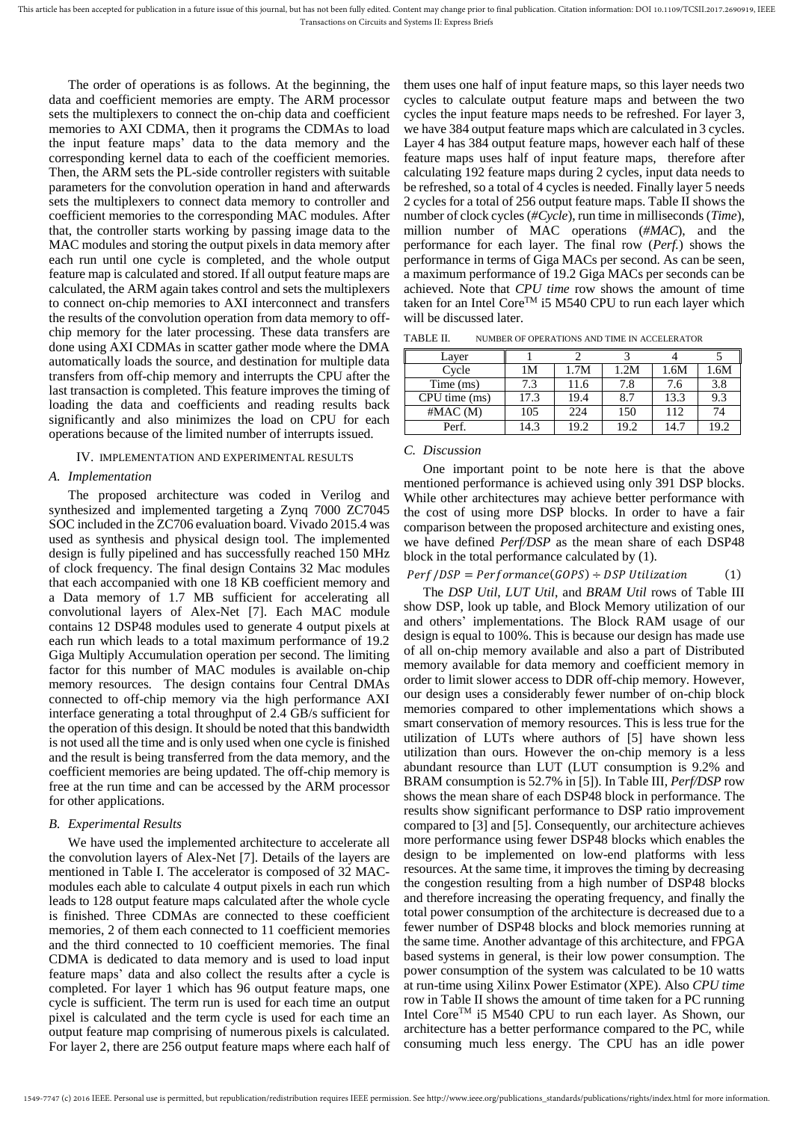The order of operations is as follows. At the beginning, the data and coefficient memories are empty. The ARM processor sets the multiplexers to connect the on-chip data and coefficient memories to AXI CDMA, then it programs the CDMAs to load the input feature maps' data to the data memory and the corresponding kernel data to each of the coefficient memories. Then, the ARM sets the PL-side controller registers with suitable parameters for the convolution operation in hand and afterwards sets the multiplexers to connect data memory to controller and coefficient memories to the corresponding MAC modules. After that, the controller starts working by passing image data to the MAC modules and storing the output pixels in data memory after each run until one cycle is completed, and the whole output feature map is calculated and stored. If all output feature maps are calculated, the ARM again takes control and sets the multiplexers to connect on-chip memories to AXI interconnect and transfers the results of the convolution operation from data memory to offchip memory for the later processing. These data transfers are done using AXI CDMAs in scatter gather mode where the DMA automatically loads the source, and destination for multiple data transfers from off-chip memory and interrupts the CPU after the last transaction is completed. This feature improves the timing of loading the data and coefficients and reading results back significantly and also minimizes the load on CPU for each operations because of the limited number of interrupts issued.

## IV. IMPLEMENTATION AND EXPERIMENTAL RESULTS

## *A. Implementation*

The proposed architecture was coded in Verilog and synthesized and implemented targeting a Zynq 7000 ZC7045 SOC included in the ZC706 evaluation board. Vivado 2015.4 was used as synthesis and physical design tool. The implemented design is fully pipelined and has successfully reached 150 MHz of clock frequency. The final design Contains 32 Mac modules that each accompanied with one 18 KB coefficient memory and a Data memory of 1.7 MB sufficient for accelerating all convolutional layers of Alex-Net [7]. Each MAC module contains 12 DSP48 modules used to generate 4 output pixels at each run which leads to a total maximum performance of 19.2 Giga Multiply Accumulation operation per second. The limiting factor for this number of MAC modules is available on-chip memory resources. The design contains four Central DMAs connected to off-chip memory via the high performance AXI interface generating a total throughput of 2.4 GB/s sufficient for the operation of this design. It should be noted that this bandwidth is not used all the time and is only used when one cycle is finished and the result is being transferred from the data memory, and the coefficient memories are being updated. The off-chip memory is free at the run time and can be accessed by the ARM processor for other applications.

# *B. Experimental Results*

We have used the implemented architecture to accelerate all the convolution layers of Alex-Net [7]. Details of the layers are mentioned in Table I. The accelerator is composed of 32 MACmodules each able to calculate 4 output pixels in each run which leads to 128 output feature maps calculated after the whole cycle is finished. Three CDMAs are connected to these coefficient memories, 2 of them each connected to 11 coefficient memories and the third connected to 10 coefficient memories. The final CDMA is dedicated to data memory and is used to load input feature maps' data and also collect the results after a cycle is completed. For layer 1 which has 96 output feature maps, one cycle is sufficient. The term run is used for each time an output pixel is calculated and the term cycle is used for each time an output feature map comprising of numerous pixels is calculated. For layer 2, there are 256 output feature maps where each half of them uses one half of input feature maps, so this layer needs two cycles to calculate output feature maps and between the two cycles the input feature maps needs to be refreshed. For layer 3, we have 384 output feature maps which are calculated in 3 cycles. Layer 4 has 384 output feature maps, however each half of these feature maps uses half of input feature maps, therefore after calculating 192 feature maps during 2 cycles, input data needs to be refreshed, so a total of 4 cycles is needed. Finally layer 5 needs 2 cycles for a total of 256 output feature maps. Table II shows the number of clock cycles (*#Cycle*), run time in milliseconds (*Time*), million number of MAC operations (*#MAC*), and the performance for each layer. The final row (*Perf.*) shows the performance in terms of Giga MACs per second. As can be seen, a maximum performance of 19.2 Giga MACs per seconds can be achieved. Note that *CPU time* row shows the amount of time taken for an Intel Core<sup>TM</sup> i5 M540 CPU to run each layer which will be discussed later.

| TABLE II.<br>NUMBER OF OPERATIONS AND TIME IN ACCELERATOR |  |
|-----------------------------------------------------------|--|
|-----------------------------------------------------------|--|

| Laver         |      |      |      |      |      |
|---------------|------|------|------|------|------|
| Cvcle         | 1М   | 1.7M | .2M  | 1.6M | .6M  |
| Time (ms)     | 7.3  | 11.6 | 7.8  | 7.6  | 3.8  |
| CPU time (ms) | l7.3 | 19.4 | 8.7  | 13.3 | 9.3  |
| #MAC(M)       | 105  | 224  | 150  | 112  | 74   |
| Perf.         | .4.3 | 19.2 | 19.2 | 14.7 | 19.2 |

#### *C. Discussion*

 One important point to be note here is that the above mentioned performance is achieved using only 391 DSP blocks. While other architectures may achieve better performance with the cost of using more DSP blocks. In order to have a fair comparison between the proposed architecture and existing ones, we have defined *Perf/DSP* as the mean share of each DSP48 block in the total performance calculated by (1).

# $Perf/DSP = Performance(GOPS) \div DSP \; Utilization$  (1)

 The *DSP Util*, *LUT Util*, and *BRAM Util* rows of Table III show DSP, look up table, and Block Memory utilization of our and others' implementations. The Block RAM usage of our design is equal to 100%. This is because our design has made use of all on-chip memory available and also a part of Distributed memory available for data memory and coefficient memory in order to limit slower access to DDR off-chip memory. However, our design uses a considerably fewer number of on-chip block memories compared to other implementations which shows a smart conservation of memory resources. This is less true for the utilization of LUTs where authors of [5] have shown less utilization than ours. However the on-chip memory is a less abundant resource than LUT (LUT consumption is 9.2% and BRAM consumption is 52.7% in [5]). In Table III, *Perf/DSP* row shows the mean share of each DSP48 block in performance. The results show significant performance to DSP ratio improvement compared to [3] and [5]. Consequently, our architecture achieves more performance using fewer DSP48 blocks which enables the design to be implemented on low-end platforms with less resources. At the same time, it improves the timing by decreasing the congestion resulting from a high number of DSP48 blocks and therefore increasing the operating frequency, and finally the total power consumption of the architecture is decreased due to a fewer number of DSP48 blocks and block memories running at the same time. Another advantage of this architecture, and FPGA based systems in general, is their low power consumption. The power consumption of the system was calculated to be 10 watts at run-time using Xilinx Power Estimator (XPE). Also *CPU time* row in Table II shows the amount of time taken for a PC running Intel Core™ i5 M540 CPU to run each layer. As Shown, our architecture has a better performance compared to the PC, while consuming much less energy. The CPU has an idle power